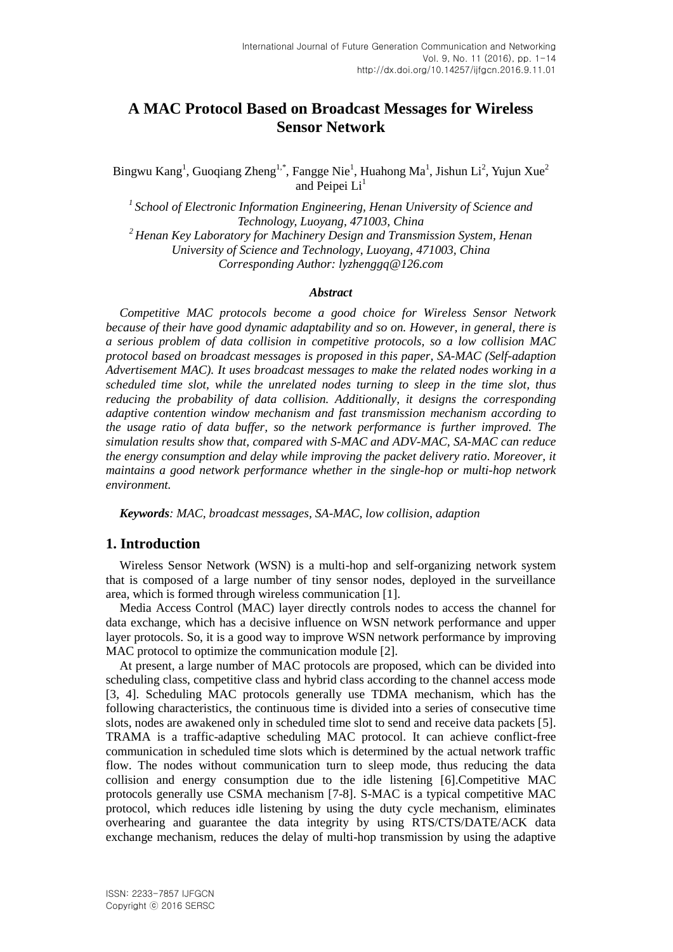# **A MAC Protocol Based on Broadcast Messages for Wireless Sensor Network**

Bingwu Kang<sup>1</sup>, Guoqiang Zheng<sup>1,\*</sup>, Fangge Nie<sup>1</sup>, Huahong Ma<sup>1</sup>, Jishun Li<sup>2</sup>, Yujun Xue<sup>2</sup> and Peipei  $Li<sup>1</sup>$ 

*<sup>1</sup>School of Electronic Information Engineering, Henan University of Science and Technology, Luoyang, 471003, China*

*<sup>2</sup>Henan Key Laboratory for Machinery Design and Transmission System, Henan University of Science and Technology, Luoyang, 471003, China Corresponding Author: lyzhenggq@126.com*

## *Abstract*

*Competitive MAC protocols become a good choice for Wireless Sensor Network because of their have good dynamic adaptability and so on. However, in general, there is a serious problem of data collision in competitive protocols, so a low collision MAC protocol based on broadcast messages is proposed in this paper, SA-MAC (Self-adaption Advertisement MAC). It uses broadcast messages to make the related nodes working in a scheduled time slot, while the unrelated nodes turning to sleep in the time slot, thus reducing the probability of data collision. Additionally, it designs the corresponding adaptive contention window mechanism and fast transmission mechanism according to the usage ratio of data buffer, so the network performance is further improved. The simulation results show that, compared with S-MAC and ADV-MAC, SA-MAC can reduce the energy consumption and delay while improving the packet delivery ratio. Moreover, it maintains a good network performance whether in the single-hop or multi-hop network environment.*

*Keywords: MAC, broadcast messages, SA-MAC, low collision, adaption*

# **1. Introduction**

Wireless Sensor Network (WSN) is a multi-hop and self-organizing network system that is composed of a large number of tiny sensor nodes, deployed in the surveillance area, which is formed through wireless communication [1].

Media Access Control (MAC) layer directly controls nodes to access the channel for data exchange, which has a decisive influence on WSN network performance and upper layer protocols. So, it is a good way to improve WSN network performance by improving MAC protocol to optimize the communication module [2].

At present, a large number of MAC protocols are proposed, which can be divided into scheduling class, competitive class and hybrid class according to the channel access mode [3, 4]. Scheduling MAC protocols generally use TDMA mechanism, which has the following characteristics, the continuous time is divided into a series of consecutive time slots, nodes are awakened only in scheduled time slot to send and receive data packets [5]. TRAMA is a traffic-adaptive scheduling MAC protocol. It can achieve conflict-free communication in scheduled time slots which is determined by the actual network traffic flow. The nodes without communication turn to sleep mode, thus reducing the data collision and energy consumption due to the idle listening [6].Competitive MAC protocols generally use CSMA mechanism [7-8]. S-MAC is a typical competitive MAC protocol, which reduces idle listening by using the duty cycle mechanism, eliminates overhearing and guarantee the data integrity by using RTS/CTS/DATE/ACK data exchange mechanism, reduces the delay of multi-hop transmission by using the adaptive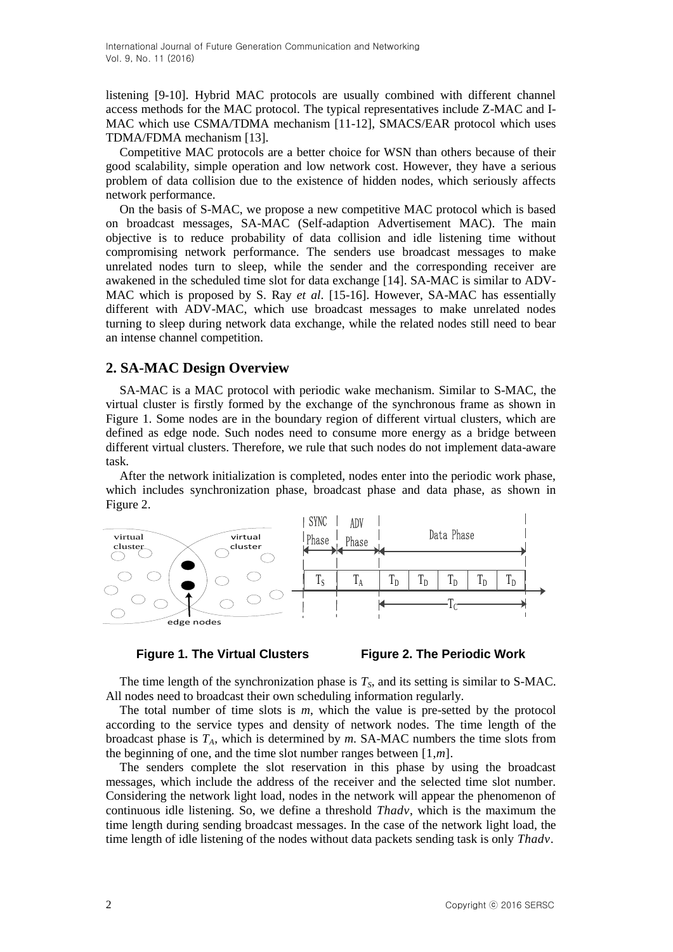listening [9-10]. Hybrid MAC protocols are usually combined with different channel access methods for the MAC protocol. The typical representatives include Z-MAC and I-MAC which use CSMA/TDMA mechanism [11-12], SMACS/EAR protocol which uses TDMA/FDMA mechanism [13].

Competitive MAC protocols are a better choice for WSN than others because of their good scalability, simple operation and low network cost. However, they have a serious problem of data collision due to the existence of hidden nodes, which seriously affects network performance.

On the basis of S-MAC, we propose a new competitive MAC protocol which is based on broadcast messages, SA-MAC (Self-adaption Advertisement MAC). The main objective is to reduce probability of data collision and idle listening time without compromising network performance. The senders use broadcast messages to make unrelated nodes turn to sleep, while the sender and the corresponding receiver are awakened in the scheduled time slot for data exchange [14]. SA-MAC is similar to ADV-MAC which is proposed by S. Ray *et al*. [15-16]. However, SA-MAC has essentially different with ADV-MAC, which use broadcast messages to make unrelated nodes turning to sleep during network data exchange, while the related nodes still need to bear an intense channel competition.

# **2. SA-MAC Design Overview**

SA-MAC is a MAC protocol with periodic wake mechanism. Similar to S-MAC, the virtual cluster is firstly formed by the exchange of the synchronous frame as shown in Figure 1. Some nodes are in the boundary region of different virtual clusters, which are defined as edge node. Such nodes need to consume more energy as a bridge between different virtual clusters. Therefore, we rule that such nodes do not implement data-aware task.

After the network initialization is completed, nodes enter into the periodic work phase, which includes synchronization phase, broadcast phase and data phase, as shown in Figure 2.



## **Figure 1. The Virtual Clusters Figure 2. The Periodic Work**

The time length of the synchronization phase is  $T<sub>S</sub>$ , and its setting is similar to S-MAC. All nodes need to broadcast their own scheduling information regularly.

The total number of time slots is *m*, which the value is pre-setted by the protocol according to the service types and density of network nodes. The time length of the broadcast phase is *TA*, which is determined by *m*. SA-MAC numbers the time slots from the beginning of one, and the time slot number ranges between [1,*m*].

The senders complete the slot reservation in this phase by using the broadcast messages, which include the address of the receiver and the selected time slot number. Considering the network light load, nodes in the network will appear the phenomenon of continuous idle listening. So, we define a threshold *Thadv*, which is the maximum the time length during sending broadcast messages. In the case of the network light load, the time length of idle listening of the nodes without data packets sending task is only *Thadv*.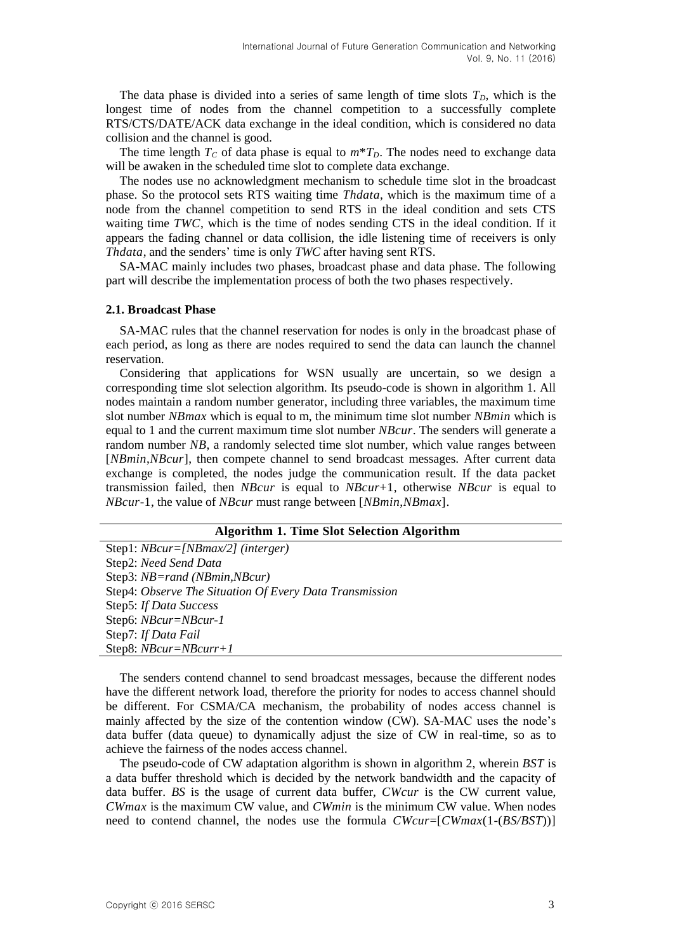The data phase is divided into a series of same length of time slots  $T<sub>D</sub>$ , which is the longest time of nodes from the channel competition to a successfully complete RTS/CTS/DATE/ACK data exchange in the ideal condition, which is considered no data collision and the channel is good.

The time length  $T_c$  of data phase is equal to  $m^*T_D$ . The nodes need to exchange data will be awaken in the scheduled time slot to complete data exchange.

The nodes use no acknowledgment mechanism to schedule time slot in the broadcast phase. So the protocol sets RTS waiting time *Thdata*, which is the maximum time of a node from the channel competition to send RTS in the ideal condition and sets CTS waiting time *TWC*, which is the time of nodes sending CTS in the ideal condition. If it appears the fading channel or data collision, the idle listening time of receivers is only *Thdata*, and the senders' time is only *TWC* after having sent RTS.

SA-MAC mainly includes two phases, broadcast phase and data phase. The following part will describe the implementation process of both the two phases respectively.

#### **2.1. Broadcast Phase**

SA-MAC rules that the channel reservation for nodes is only in the broadcast phase of each period, as long as there are nodes required to send the data can launch the channel reservation.

Considering that applications for WSN usually are uncertain, so we design a corresponding time slot selection algorithm. Its pseudo-code is shown in algorithm 1. All nodes maintain a random number generator, including three variables, the maximum time slot number *NBmax* which is equal to m, the minimum time slot number *NBmin* which is equal to 1 and the current maximum time slot number *NBcur*. The senders will generate a random number *NB*, a randomly selected time slot number, which value ranges between [*NBmin*,*NBcur*], then compete channel to send broadcast messages. After current data exchange is completed, the nodes judge the communication result. If the data packet transmission failed, then *NBcur* is equal to *NBcur*+1, otherwise *NBcur* is equal to *NBcur*-1, the value of *NBcur* must range between [*NBmin*,*NBmax*].

#### **Algorithm 1. Time Slot Selection Algorithm**

| Step1: $NBcur = [NBmax/2]$ (interger)                   |
|---------------------------------------------------------|
| Step2: Need Send Data                                   |
| Step3: NB=rand (NBmin, NBcur)                           |
| Step4: Observe The Situation Of Every Data Transmission |
| Step5: If Data Success                                  |
| Step6: NBcur=NBcur-1                                    |
| Step7: If Data Fail                                     |
| Step8: $NBcur = NBcurr + 1$                             |

The senders contend channel to send broadcast messages, because the different nodes have the different network load, therefore the priority for nodes to access channel should be different. For CSMA/CA mechanism, the probability of nodes access channel is mainly affected by the size of the contention window (CW). SA-MAC uses the node"s data buffer (data queue) to dynamically adjust the size of CW in real-time, so as to achieve the fairness of the nodes access channel.

The pseudo-code of CW adaptation algorithm is shown in algorithm 2, wherein *BST* is a data buffer threshold which is decided by the network bandwidth and the capacity of data buffer. *BS* is the usage of current data buffer, *CWcur* is the CW current value, *CWmax* is the maximum CW value, and *CWmin* is the minimum CW value. When nodes need to contend channel, the nodes use the formula *CWcur*=[*CWmax*(1-(*BS/BST*))]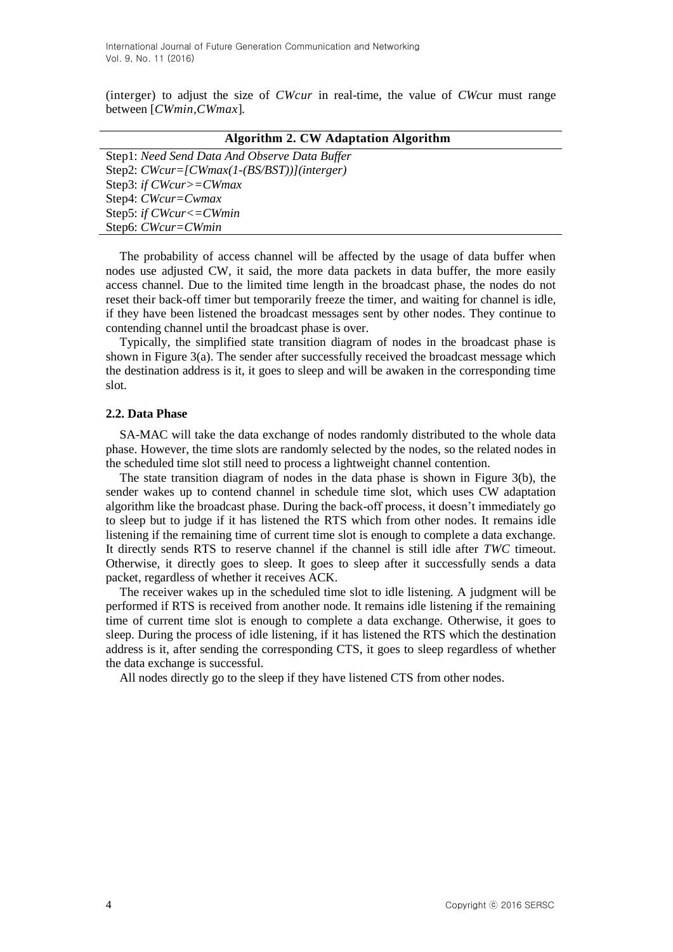(interger) to adjust the size of *CWcur* in real-time, the value of *CWc*ur must range between [*CWmin,CWmax*]*.*

#### **Algorithm 2. CW Adaptation Algorithm**

Step1: *Need Send Data And Observe Data Buffer* Step2: *CWcur=[CWmax(1-(BS/BST))](interger)* Step3: *if CWcur>=CWmax* Step4: *CWcur=Cwmax* Step5: *if CWcur<=CWmin* Step6: *CWcur=CWmin*

The probability of access channel will be affected by the usage of data buffer when nodes use adjusted CW, it said, the more data packets in data buffer, the more easily access channel. Due to the limited time length in the broadcast phase, the nodes do not reset their back-off timer but temporarily freeze the timer, and waiting for channel is idle, if they have been listened the broadcast messages sent by other nodes. They continue to contending channel until the broadcast phase is over.

Typically, the simplified state transition diagram of nodes in the broadcast phase is shown in Figure 3(a). The sender after successfully received the broadcast message which the destination address is it, it goes to sleep and will be awaken in the corresponding time slot.

## **2.2. Data Phase**

SA-MAC will take the data exchange of nodes randomly distributed to the whole data phase. However, the time slots are randomly selected by the nodes, so the related nodes in the scheduled time slot still need to process a lightweight channel contention.

The state transition diagram of nodes in the data phase is shown in Figure 3(b), the sender wakes up to contend channel in schedule time slot, which uses CW adaptation algorithm like the broadcast phase. During the back-off process, it doesn"t immediately go to sleep but to judge if it has listened the RTS which from other nodes. It remains idle listening if the remaining time of current time slot is enough to complete a data exchange. It directly sends RTS to reserve channel if the channel is still idle after *TWC* timeout. Otherwise, it directly goes to sleep. It goes to sleep after it successfully sends a data packet, regardless of whether it receives ACK.

The receiver wakes up in the scheduled time slot to idle listening. A judgment will be performed if RTS is received from another node. It remains idle listening if the remaining time of current time slot is enough to complete a data exchange. Otherwise, it goes to sleep. During the process of idle listening, if it has listened the RTS which the destination address is it, after sending the corresponding CTS, it goes to sleep regardless of whether the data exchange is successful.

All nodes directly go to the sleep if they have listened CTS from other nodes.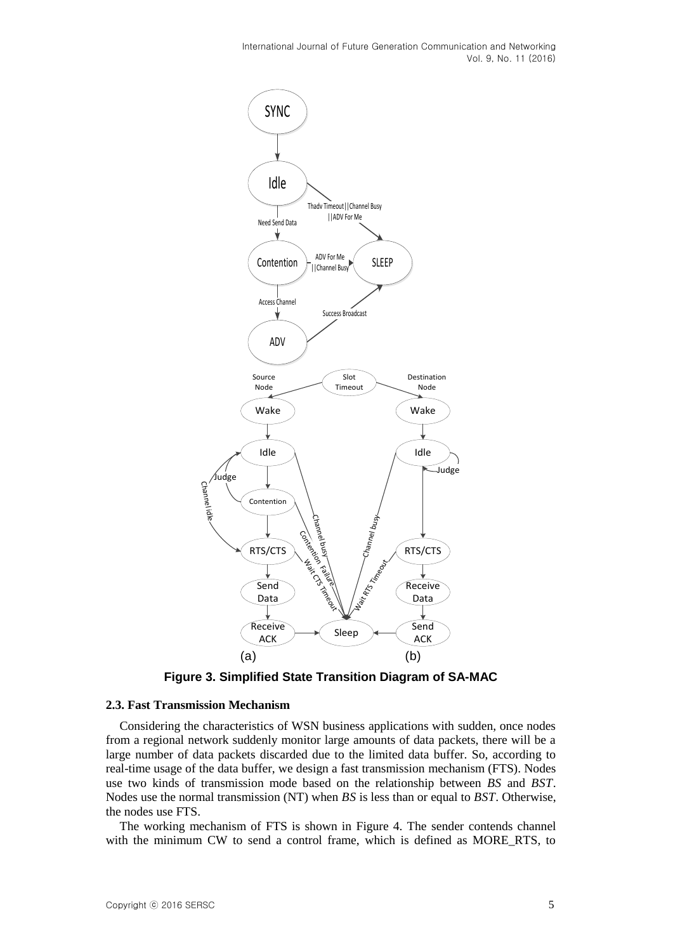

**Figure 3. Simplified State Transition Diagram of SA-MAC**

### **2.3. Fast Transmission Mechanism**

Considering the characteristics of WSN business applications with sudden, once nodes from a regional network suddenly monitor large amounts of data packets, there will be a large number of data packets discarded due to the limited data buffer. So, according to real-time usage of the data buffer, we design a fast transmission mechanism (FTS). Nodes use two kinds of transmission mode based on the relationship between *BS* and *BST*. Nodes use the normal transmission (NT) when *BS* is less than or equal to *BST*. Otherwise, the nodes use FTS.

The working mechanism of FTS is shown in Figure 4. The sender contends channel with the minimum CW to send a control frame, which is defined as MORE\_RTS, to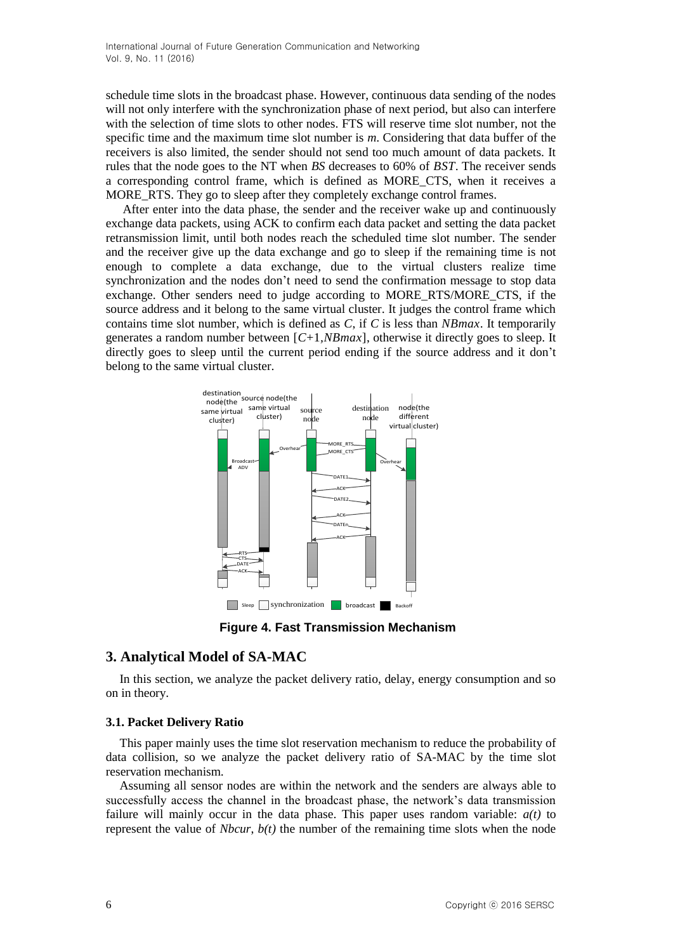schedule time slots in the broadcast phase. However, continuous data sending of the nodes will not only interfere with the synchronization phase of next period, but also can interfere with the selection of time slots to other nodes. FTS will reserve time slot number, not the specific time and the maximum time slot number is *m*. Considering that data buffer of the receivers is also limited, the sender should not send too much amount of data packets. It rules that the node goes to the NT when *BS* decreases to 60% of *BST*. The receiver sends a corresponding control frame, which is defined as MORE\_CTS, when it receives a MORE RTS. They go to sleep after they completely exchange control frames.

After enter into the data phase, the sender and the receiver wake up and continuously exchange data packets, using ACK to confirm each data packet and setting the data packet retransmission limit, until both nodes reach the scheduled time slot number. The sender and the receiver give up the data exchange and go to sleep if the remaining time is not enough to complete a data exchange, due to the virtual clusters realize time synchronization and the nodes don"t need to send the confirmation message to stop data exchange. Other senders need to judge according to MORE\_RTS/MORE\_CTS, if the source address and it belong to the same virtual cluster. It judges the control frame which contains time slot number, which is defined as *C*, if *C* is less than *NBmax*. It temporarily generates a random number between [*C*+1*,NBmax*], otherwise it directly goes to sleep. It directly goes to sleep until the current period ending if the source address and it don't belong to the same virtual cluster.



**Figure 4. Fast Transmission Mechanism**

## **3. Analytical Model of SA-MAC**

In this section, we analyze the packet delivery ratio, delay, energy consumption and so on in theory.

#### **3.1. Packet Delivery Ratio**

This paper mainly uses the time slot reservation mechanism to reduce the probability of data collision, so we analyze the packet delivery ratio of SA-MAC by the time slot reservation mechanism.

Assuming all sensor nodes are within the network and the senders are always able to successfully access the channel in the broadcast phase, the network"s data transmission failure will mainly occur in the data phase. This paper uses random variable: *a(t)* to represent the value of *Nbcur*, *b(t)* the number of the remaining time slots when the node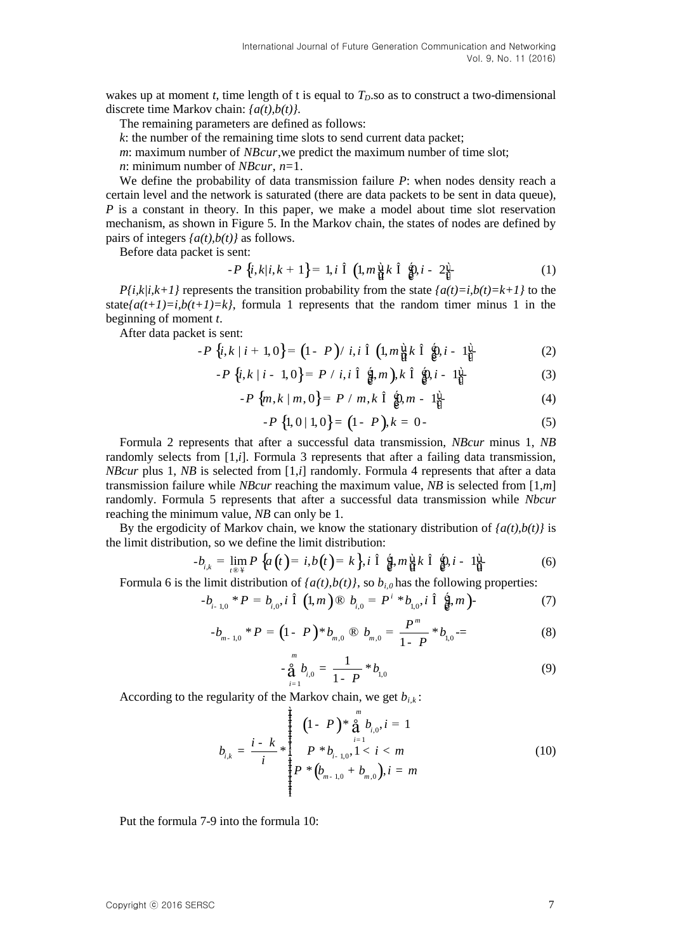wakes up at moment *t*, time length of t is equal to  $T<sub>D</sub>$ , so as to construct a two-dimensional discrete time Markov chain: *{a(t),b(t)}.*

The remaining parameters are defined as follows:

*k*: the number of the remaining time slots to send current data packet;

*m*: maximum number of *NBcur*,we predict the maximum number of time slot;

*n*: minimum number of *NBcur*, *n*=1.

We define the probability of data transmission failure *P*: when nodes density reach a certain level and the network is saturated (there are data packets to be sent in data queue), *P* is a constant in theory. In this paper, we make a model about time slot reservation mechanism, as shown in Figure 5. In the Markov chain, the states of nodes are defined by pairs of integers  ${a(t),b(t)}$  as follows.

Before data packet is sent:

sent:  
\n
$$
-P\left\{i,k|i,k+1\right\} = 1, i\hat{1} \left(1, m\frac{\hat{u}}{\hat{u}}k\hat{1} \hat{g}\hat{u} - 2\frac{\hat{u}}{\hat{u}} \left(1, 0\right)\right)
$$
\n(1)

*P{i,k|i,k+1}* represents the transition probability from the state  $\{a(t)=i, b(t)=k+1\}$  to the state ${a(t+1)=i,b(t+1)=k}$ , formula 1 represents that the random timer minus 1 in the beginning of moment *t*.

After data packet is sent:

-*P i k i P i i m k i* {, | 1, 0 1 / , 1, , 0, 1 } ( ) ( + = - Î Î - ù é ù ú ê ú û ë û - (2) -*P i k i P i i m k i* {, | 1, 0 / , 1, , 0, 1 } ) - = Î Î - é é ù ê ê ú ë ë û

$$
P\{i,k \mid i-1,0\} = P / i, i \hat{1} \hat{g}, m), k \hat{1} \hat{g}, i-1 \hat{g} \tag{3}
$$

$$
l, k | l - 1, 0 \} = P / l, l \in \mathbb{R}, m, k \in \mathbb{R}, l - 1 \mathbb{R}
$$
  
-P  $\{m, k | m, 0\} = P / m, k \hat{1} \mathbb{R}, m - 1 \mathbb{R}$   
(4)

$$
-P\{1,0|1,0\} = (1-P), k = 0.
$$
 (5)

Formula 2 represents that after a successful data transmission, *NBcur* minus 1, *NB*  randomly selects from [1,*i*]. Formula 3 represents that after a failing data transmission, *NBcur* plus 1, *NB* is selected from [1,*i*] randomly. Formula 4 represents that after a data transmission failure while *NBcur* reaching the maximum value, *NB* is selected from [1,*m*] randomly. Formula 5 represents that after a successful data transmission while *Nbcur* reaching the minimum value, *NB* can only be 1.

By the ergodicity of Markov chain, we know the stationary distribution of  ${a(t), b(t)}$  is <br>  $- b_{i,k} = \lim_{t \to \infty} P {\{a(t) = i, b(t) = k\}}, i \hat{1} {\{a, m\}\} k \hat{1} {\{b, i - 1\}\} (6)$ by the eigodicity of Markov chain, we know the stationary distribution:<br>the limit distribution, so we define the limit distribution:<br> $-b_{i,k} = \lim_{t \to \infty} P\left\{a(t) = i, b(t) = k\right\}, i \hat{1} \hat{a}, m\hat{a} \hat{b} \hat{c} \hat{b}$ . 1

$$
-b_{i,k} = \lim_{t \to \infty} P\left\{a\left(t\right) = i, b\left(t\right) = k\right\}, i\hat{1} \quad \hat{\mathbf{g}}_i m \dot{\mathbf{u}}_k \hat{1} \quad \hat{\mathbf{g}}_i, i - 1\dot{\mathbf{u}}_i \tag{6}
$$

Formula 6 is the limit distribution of 
$$
\{a(t), b(t)\}\
$$
, so  $b_{i,0}$  has the following properties:  
\n
$$
-b_{i-1,0} * P = b_{i,0}, i \hat{1} (1, m) \otimes b_{i,0} = P^i * b_{i,0}, i \hat{1} (\hat{a}, m)
$$
\n(7)

$$
-b_{m-1,0} * P = (1 - P) * b_{m,0} \otimes b_{m,0} = \frac{P^m}{1 - P} * b_{1,0} = (8)
$$

$$
-\frac{1}{2}\sum_{i=1}^{m}b_{i,0}=\frac{1}{1-P} * b_{1,0}
$$
\n(9)

According to the regularity of the Markov chain, we get  $b_{i,k}$ :

$$
b_{i,k} = \frac{i - k}{i} * \n\begin{cases} \n(1 - P) * \overset{m}{\underset{i=1}{\mathbf{a}}} b_{i,0}, i = 1 \\ \nP * b_{i-1,0}, 1 < i < m \\ \nP * (b_{m-1,0} + b_{m,0}), i = m \n\end{cases} \n\tag{10}
$$

Put the formula 7-9 into the formula 10: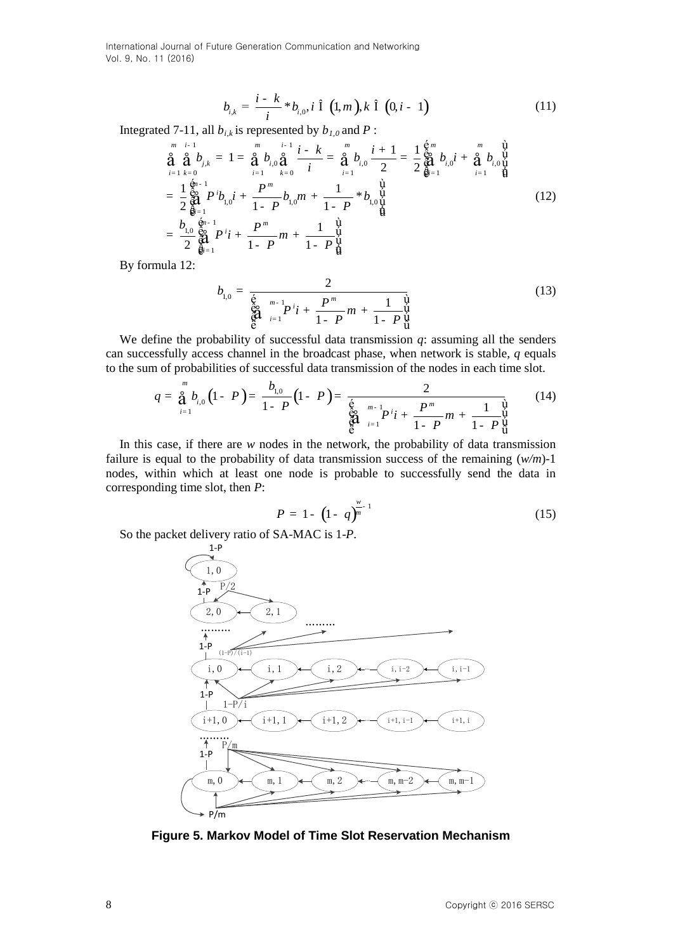$$
b_{i,k} = \frac{i - k}{i} * b_{i,0}, i \hat{1} (1, m), k \hat{1} (0, i - 1)
$$
 (11)

Integrated 7-11, all  $b_{i,k}$  is represented by  $b_{i,0}$  and  $P$ :<br>  $\frac{m}{m}$   $\frac{i-1}{i-k}$   $\frac{m}{n}$   $\frac{i}{n}$ 1, all  $b_{i,k}$  is represer<br> $\frac{1}{m}$   $\frac{1}{m}$ 

$$
b_{i,k} = \frac{1}{i} * b_{i,0}, i \in (1, m), k \in (0, i - 1)
$$
(11)  
\nd 7-11, all  $b_{i,k}$  is represented by  $b_{I,0}$  and  $P$ :  
\n
$$
\stackrel{m}{\underset{i=1 \ k=0}{\text{a}}} i^{-1} = \stackrel{m}{\underset{i=1 \ k=0}{\text{a}}} i^{-1} \stackrel{i-k}{\underset{i=1 \ k=0}{\text{b}}} = \stackrel{m}{\underset{i=1 \ k=0}{\text{a}}} i^{-1} \stackrel{i-k}{\underset{i=1 \ k=0}{\text{b}}} = \frac{1}{2} \stackrel{6m}{\underset{\text{odd}}{\text{odd}}} b_{i,0} i + \stackrel{m}{\underset{i=1 \ k=1 \ k=1}}{\text{b}}} \stackrel{1}{\underset{\text{odd}}{\text{odd}}} b_{i,0} i^{-1} \stackrel{m}{\underset{i=1 \ k=1 \ k=0 \ k=1}}{\text{d}} = \frac{1}{2} \stackrel{6m}{\underset{\text{odd}}{\text{odd}}} p^{i-1} b_{i,0} i + \frac{P^m}{1 - P^m} b_{i,0} m + \frac{1}{1 - P^m} * b_{i,0} \stackrel{1}{\underset{\text{odd}}{\text{odd}}} \stackrel{1}{\underset{\text{odd}}{\text{odd}}} \tag{12}
$$
\n
$$
= \frac{b_{i,0}}{2} \stackrel{6m}{\underset{\text{odd}}{\text{odd}}} P^i i + \frac{P^m}{1 - P^m} m + \frac{1}{1 - P^u} \stackrel{1}{\underset{\text{odd}}{\text{odd}}} \tag{12}
$$

By formula 12:

$$
b_{1,0} = \frac{2}{\underset{\stackrel{\delta}{\Theta}}{\underset{i=1}{\text{diag}}} p^i i + \frac{P^m}{1 - P^m} m + \frac{1}{1 - P^{\{u\}}_{\mathbf{u}}} \tag{13}
$$

We define the probability of successful data transmission *q*: assuming all the senders can successfully access channel in the broadcast phase, when network is stable, *q* equals

to the sum of probabilities of successful data transmission of the nodes in each time slot.  
\n
$$
q = \frac{a}{d} b_{i,0} (1 - P) = \frac{b_{i,0}}{1 - P} (1 - P) = \frac{2}{\sum_{i=1}^{6} p_i^m - \sum_{j=1}^{6} p_j^m + \sum_{j=1}^{6} \frac{1}{p} p_j^m}
$$
\nIn this case, if there are *w* nodes in the network, the probability of data transmission

In this case, if there are *w* nodes in the network, the probability of data transmission failure is equal to the probability of data transmission success of the remaining (*w/m*)-1 nodes, within which at least one node is probable to successfully send the data in corresponding time slot, then *P*:

$$
P = 1 - \left(1 - q\right)^{\frac{w}{n-1}} \tag{15}
$$

So the packet delivery ratio of SA-MAC is 1-*P*.



**Figure 5. Markov Model of Time Slot Reservation Mechanism**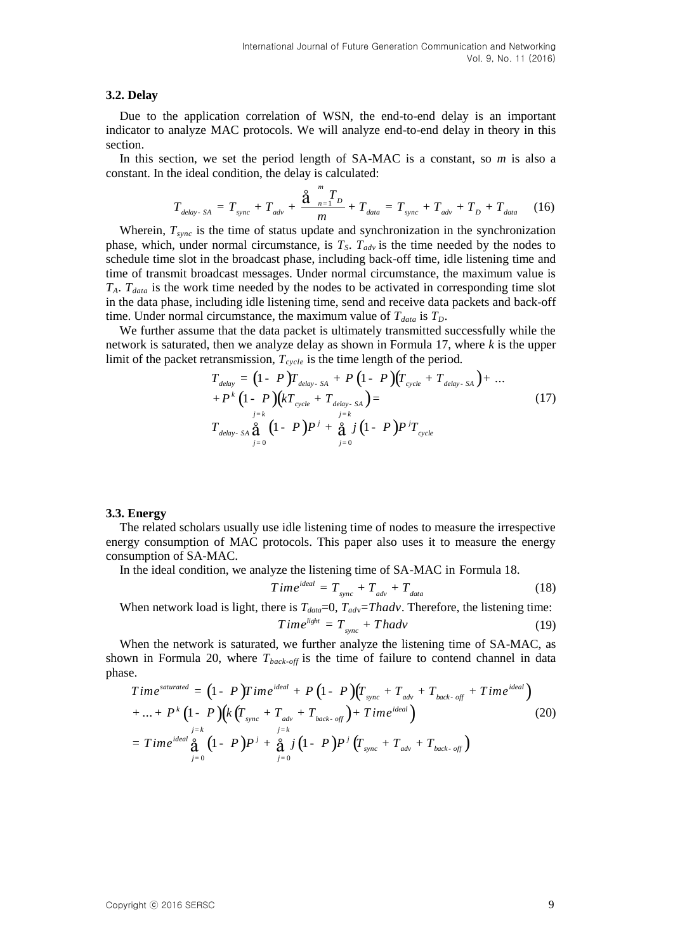#### **3.2. Delay**

Due to the application correlation of WSN, the end-to-end delay is an important indicator to analyze MAC protocols. We will analyze end-to-end delay in theory in this section.

In this section, we set the period length of SA-MAC is a constant, so *m* is also a

constant. In the ideal condition, the delay is calculated:  
\n
$$
T_{delay \, SA} = T_{sync} + T_{adv} + \frac{\hat{a}}{m} \frac{m}{m} T_{data} = T_{sync} + T_{adv} + T_D + T_{data}
$$
\n(16)

Wherein, *Tsync* is the time of status update and synchronization in the synchronization phase, which, under normal circumstance, is  $T_S$ .  $T_{adv}$  is the time needed by the nodes to schedule time slot in the broadcast phase, including back-off time, idle listening time and time of transmit broadcast messages. Under normal circumstance, the maximum value is  $T_A$ .  $T_{data}$  is the work time needed by the nodes to be activated in corresponding time slot in the data phase, including idle listening time, send and receive data packets and back-off time. Under normal circumstance, the maximum value of  $T_{data}$  is  $T_D$ .

We further assume that the data packet is ultimately transmitted successfully while the network is saturated, then we analyze delay as shown in Formula 17, where *k* is the upper limit of the packet retransmission,  $T_{cycle}$  is the time length of the period.<br>  $T_{delay} = (1 - P)T_{delay-SA} + P (1 - P)(T_{cycle} + T_{delay-SA}) + ...$ 

$$
T_{delay} = (1 - P)T_{delay-SA} + P (1 - P) (T_{cycle} + T_{delay-SA}) + ... + P^{k} (1 - P) (kT_{cycle} + T_{delay-SA}) =
$$
  

$$
T_{delay-SA} \frac{\partial}{\partial t} (1 - P) P^{j} + \frac{\partial}{\partial t} j (1 - P) P^{j} T_{cycle}
$$
 (17)

#### **3.3. Energy**

The related scholars usually use idle listening time of nodes to measure the irrespective energy consumption of MAC protocols. This paper also uses it to measure the energy consumption of SA-MAC.

In the ideal condition, we analyze the listening time of SA-MAC in Formula 18.<br>  $Time^{ideal} = T_{sync} + T_{adv} + T_{data}$  (18)

$$
Time^{ideal} = T_{sync} + T_{adv} + T_{data}
$$
 (18)

When network load is light, there is  $T_{data}=0$ ,  $T_{adv}=Thadv$ . Therefore, the listening time:

$$
Time^{light} = T_{sync} + Thadv
$$
 (19)

When the network is saturated, we further analyze the listening time of SA-MAC, as shown in Formula 20, where  $T_{back-off}$  is the time of failure to contend channel in data phase.<br>  $Time^{saturated} = (1 - P)Time^{ideal} + P(1 - P)(T_{max} + T_{int} + T_{back-off} + Time^{ideal})$ phase. *T* ime<sup>saturated</sup> =  $(1 - P)$ *T* ime<sup>ideal</sup> +  $P(1 - P)(T_{sync} + T_{adv} + T_{back-off} + T_{line})$ 

See.

\n
$$
Time^{saturated} = (1 - P)Time^{ideal} + P (1 - P) (T_{sync} + T_{adv} + T_{back-off} + Time^{ideal})
$$
\n
$$
+ ... + P^{k} (1 - P) (k (T_{sync} + T_{adv} + T_{back-off}) + Time^{ideal})
$$
\n
$$
= Time^{ideal} \frac{a}{d} (1 - P) P^{j} + \frac{a}{d} j (1 - P) P^{j} (T_{sync} + T_{adv} + T_{back-off})
$$
\n(20)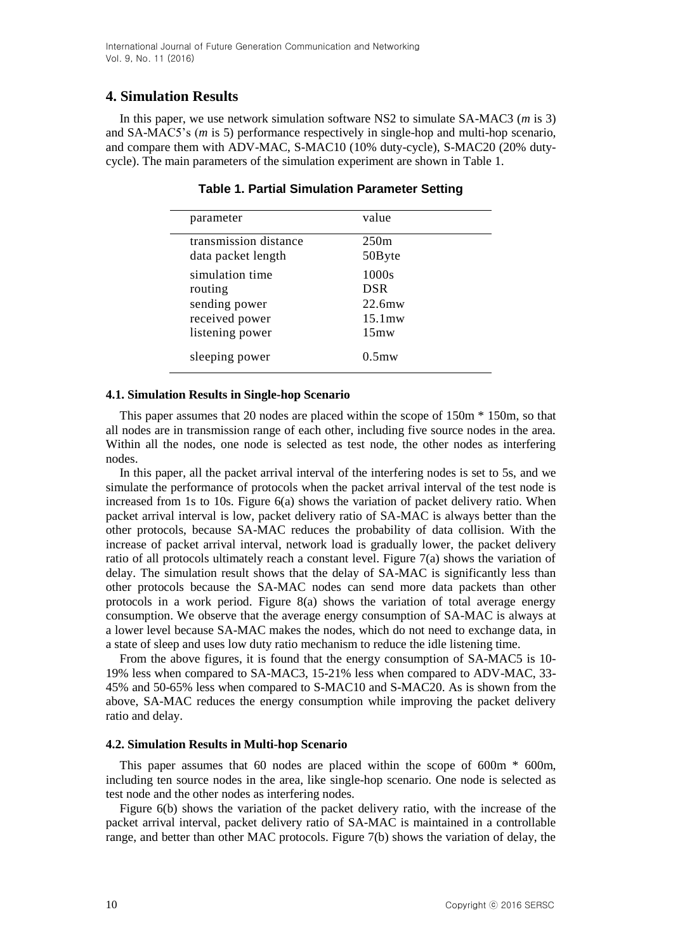# **4. Simulation Results**

In this paper, we use network simulation software NS2 to simulate SA-MAC3 (*m* is 3) and SA-MAC5"s (*m* is 5) performance respectively in single-hop and multi-hop scenario, and compare them with ADV-MAC, S-MAC10 (10% duty-cycle), S-MAC20 (20% dutycycle). The main parameters of the simulation experiment are shown in Table 1.

| parameter             | value            |
|-----------------------|------------------|
| transmission distance | 250 <sub>m</sub> |
| data packet length    | 50Byte           |
| simulation time       | 1000s            |
| routing               | <b>DSR</b>       |
| sending power         | $22.6$ mw        |
| received power        | $15.1$ mw        |
| listening power       | $15 \text{mw}$   |
| sleeping power        | $0.5$ mw         |

**Table 1. Partial Simulation Parameter Setting**

## **4.1. Simulation Results in Single-hop Scenario**

This paper assumes that 20 nodes are placed within the scope of 150m \* 150m, so that all nodes are in transmission range of each other, including five source nodes in the area. Within all the nodes, one node is selected as test node, the other nodes as interfering nodes.

In this paper, all the packet arrival interval of the interfering nodes is set to 5s, and we simulate the performance of protocols when the packet arrival interval of the test node is increased from 1s to 10s. Figure  $6(a)$  shows the variation of packet delivery ratio. When packet arrival interval is low, packet delivery ratio of SA-MAC is always better than the other protocols, because SA-MAC reduces the probability of data collision. With the increase of packet arrival interval, network load is gradually lower, the packet delivery ratio of all protocols ultimately reach a constant level. Figure 7(a) shows the variation of delay. The simulation result shows that the delay of SA-MAC is significantly less than other protocols because the SA-MAC nodes can send more data packets than other protocols in a work period. Figure 8(a) shows the variation of total average energy consumption. We observe that the average energy consumption of SA-MAC is always at a lower level because SA-MAC makes the nodes, which do not need to exchange data, in a state of sleep and uses low duty ratio mechanism to reduce the idle listening time.

From the above figures, it is found that the energy consumption of SA-MAC5 is 10- 19% less when compared to SA-MAC3, 15-21% less when compared to ADV-MAC, 33- 45% and 50-65% less when compared to S-MAC10 and S-MAC20. As is shown from the above, SA-MAC reduces the energy consumption while improving the packet delivery ratio and delay.

## **4.2. Simulation Results in Multi-hop Scenario**

This paper assumes that 60 nodes are placed within the scope of 600m \* 600m, including ten source nodes in the area, like single-hop scenario. One node is selected as test node and the other nodes as interfering nodes.

Figure 6(b) shows the variation of the packet delivery ratio, with the increase of the packet arrival interval, packet delivery ratio of SA-MAC is maintained in a controllable range, and better than other MAC protocols. Figure 7(b) shows the variation of delay, the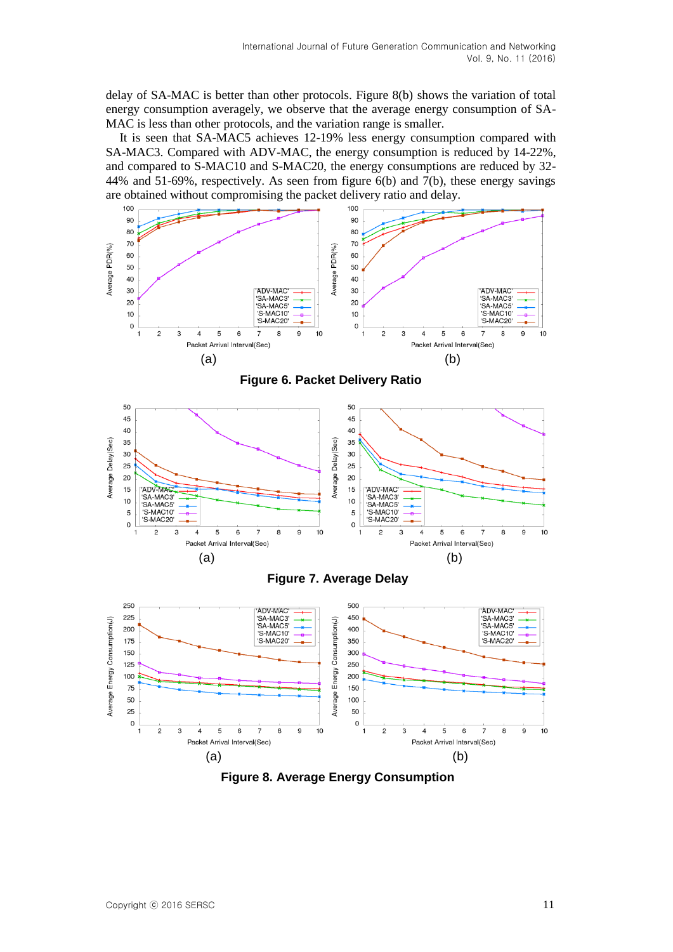delay of SA-MAC is better than other protocols. Figure 8(b) shows the variation of total energy consumption averagely, we observe that the average energy consumption of SA-MAC is less than other protocols, and the variation range is smaller.

It is seen that SA-MAC5 achieves 12-19% less energy consumption compared with SA-MAC3. Compared with ADV-MAC, the energy consumption is reduced by 14-22%, and compared to S-MAC10 and S-MAC20, the energy consumptions are reduced by 32- 44% and 51-69%, respectively. As seen from figure 6(b) and 7(b), these energy savings are obtained without compromising the packet delivery ratio and delay.



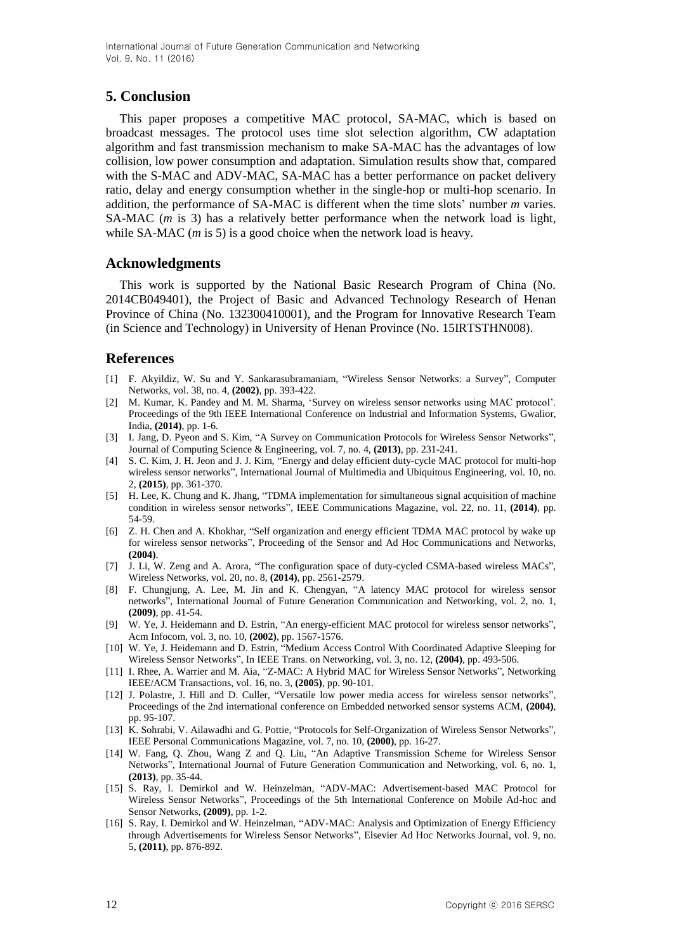# **5. Conclusion**

This paper proposes a competitive MAC protocol, SA-MAC, which is based on broadcast messages. The protocol uses time slot selection algorithm, CW adaptation algorithm and fast transmission mechanism to make SA-MAC has the advantages of low collision, low power consumption and adaptation. Simulation results show that, compared with the S-MAC and ADV-MAC, SA-MAC has a better performance on packet delivery ratio, delay and energy consumption whether in the single-hop or multi-hop scenario. In addition, the performance of SA-MAC is different when the time slots" number *m* varies. SA-MAC (*m* is 3) has a relatively better performance when the network load is light, while SA-MAC (*m* is 5) is a good choice when the network load is heavy.

## **Acknowledgments**

This work is supported by the National Basic Research Program of China (No. 2014CB049401), the Project of Basic and Advanced Technology Research of Henan Province of China (No. 132300410001), and the Program for Innovative Research Team (in Science and Technology) in University of Henan Province (No. 15IRTSTHN008).

# **References**

- [1] F. Akyildiz, W. Su and Y. Sankarasubramaniam, "Wireless Sensor Networks: a Survey", Computer Networks, vol. 38, no. 4, **(2002)**, pp. 393-422.
- [2] M. Kumar, K. Pandey and M. M. Sharma, "Survey on wireless sensor networks using MAC protocol". Proceedings of the 9th IEEE International Conference on Industrial and Information Systems, Gwalior, India, **(2014)**, pp. 1-6.
- [3] I. Jang, D. Pyeon and S. Kim, "A Survey on Communication Protocols for Wireless Sensor Networks", Journal of Computing Science & Engineering, vol. 7, no. 4, **(2013)**, pp. 231-241.
- [4] S. C. Kim, J. H. Jeon and J. J. Kim, "Energy and delay efficient duty-cycle MAC protocol for multi-hop wireless sensor networks", International Journal of Multimedia and Ubiquitous Engineering, vol. 10, no. 2, **(2015)**, pp. 361-370.
- [5] H. Lee, K. Chung and K. Jhang, "TDMA implementation for simultaneous signal acquisition of machine condition in wireless sensor networks", IEEE Communications Magazine, vol. 22, no. 11, **(2014)**, pp. 54-59.
- [6] Z. H. Chen and A. Khokhar, "Self organization and energy efficient TDMA MAC protocol by wake up for wireless sensor networks", Proceeding of the Sensor and Ad Hoc Communications and Networks, **(2004)**.
- [7] J. Li, W. Zeng and A. Arora, "The configuration space of duty-cycled CSMA-based wireless MACs", Wireless Networks, vol. 20, no. 8, **(2014)**, pp. 2561-2579.
- [8] F. Chungjung, A. Lee, M. Jin and K. Chengyan, "A latency MAC protocol for wireless sensor networks", International Journal of Future Generation Communication and Networking, vol. 2, no. 1, **(2009)**, pp. 41-54.
- [9] W. Ye, J. Heidemann and D. Estrin, "An energy-efficient MAC protocol for wireless sensor networks", Acm Infocom, vol. 3, no. 10, **(2002)**, pp. 1567-1576.
- [10] W. Ye, J. Heidemann and D. Estrin, "Medium Access Control With Coordinated Adaptive Sleeping for Wireless Sensor Networks", In IEEE Trans. on Networking, vol. 3, no. 12, **(2004)**, pp. 493-506.
- [11] I. Rhee, A. Warrier and M. Aia, "Z-MAC: A Hybrid MAC for Wireless Sensor Networks", Networking IEEE/ACM Transactions, vol. 16, no. 3, **(2005)**, pp. 90-101.
- [12] J. Polastre, J. Hill and D. Culler, "Versatile low power media access for wireless sensor networks", Proceedings of the 2nd international conference on Embedded networked sensor systems ACM, **(2004)**, pp. 95-107.
- [13] K. Sohrabi, V. Ailawadhi and G. Pottie, "Protocols for Self-Organization of Wireless Sensor Networks", IEEE Personal Communications Magazine, vol. 7, no. 10, **(2000)**, pp. 16-27.
- [14] W. Fang, Q. Zhou, Wang Z and Q. Liu, "An Adaptive Transmission Scheme for Wireless Sensor Networks", International Journal of Future Generation Communication and Networking, vol. 6, no. 1, **(2013)**, pp. 35-44.
- [15] S. Ray, I. Demirkol and W. Heinzelman, "ADV-MAC: Advertisement-based MAC Protocol for Wireless Sensor Networks", Proceedings of the 5th International Conference on Mobile Ad-hoc and Sensor Networks, **(2009)**, pp. 1-2.
- [16] S. Ray, I. Demirkol and W. Heinzelman, "ADV-MAC: Analysis and Optimization of Energy Efficiency through Advertisements for Wireless Sensor Networks", Elsevier Ad Hoc Networks Journal, vol. 9, no. 5, **(2011)**, pp. 876-892.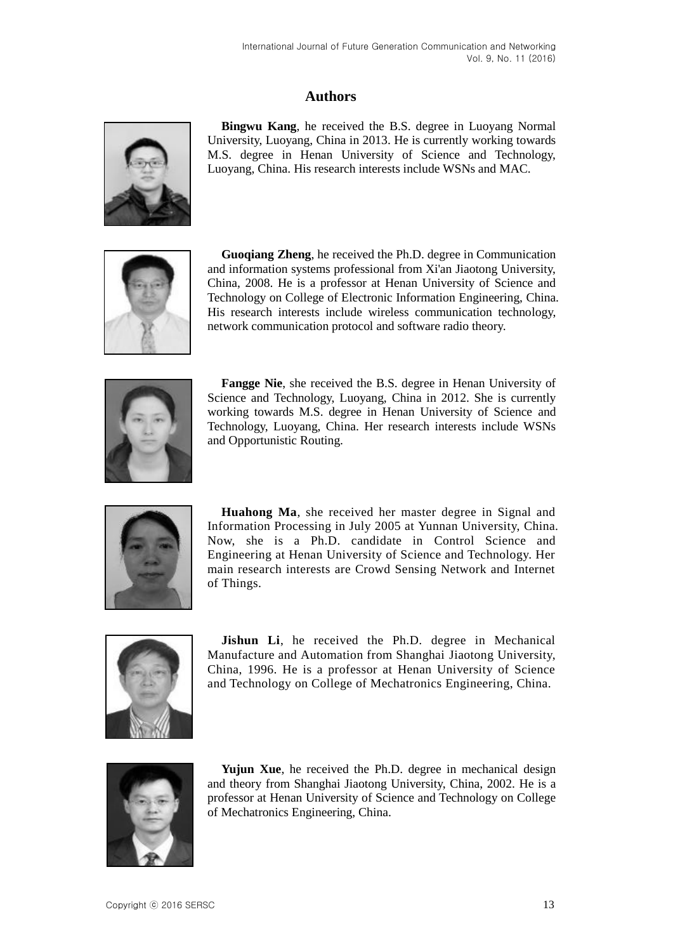# **Authors**



**Bingwu Kang**, he received the B.S. degree in Luoyang Normal University, Luoyang, China in 2013. He is currently working towards M.S. degree in Henan University of Science and Technology, Luoyang, China. His research interests include WSNs and MAC.



**Guoqiang Zheng**, he received the Ph.D. degree in Communication and information systems professional from Xi'an Jiaotong University, China, 2008. He is a professor at Henan University of Science and Technology on College of Electronic Information Engineering, China. His research interests include wireless communication technology, network communication protocol and software radio theory.



**Fangge Nie**, she received the B.S. degree in Henan University of Science and Technology, Luoyang, China in 2012. She is currently working towards M.S. degree in Henan University of Science and Technology, Luoyang, China. Her research interests include WSNs and Opportunistic Routing.



**Huahong Ma**, she received her master degree in Signal and Information Processing in July 2005 at Yunnan University, China. Now, she is a Ph.D. candidate in Control Science and Engineering at Henan University of Science and Technology. Her main research interests are Crowd Sensing Network and Internet of Things.



**Jishun Li**, he received the Ph.D. degree in Mechanical Manufacture and Automation from Shanghai Jiaotong University, China, 1996. He is a professor at Henan University of Science and Technology on College of Mechatronics Engineering, China.



**Yujun Xue**, he received the Ph.D. degree in mechanical design and theory from Shanghai Jiaotong University, China, 2002. He is a professor at Henan University of Science and Technology on College of Mechatronics Engineering, China.